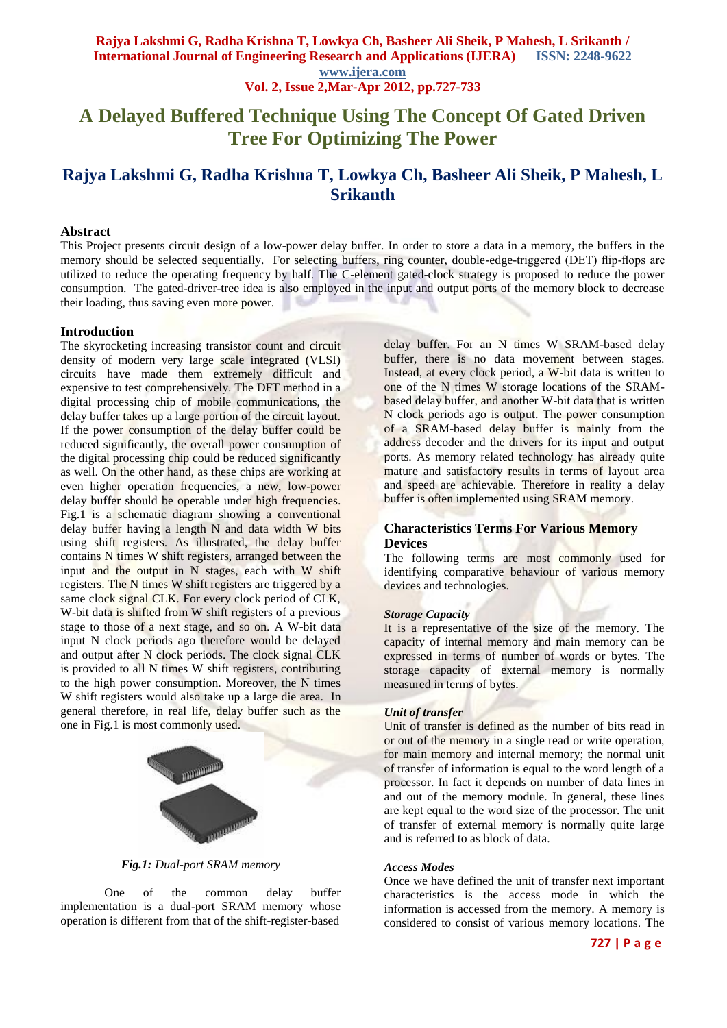# **A Delayed Buffered Technique Using The Concept Of Gated Driven Tree For Optimizing The Power**

## **Rajya Lakshmi G, Radha Krishna T, Lowkya Ch, Basheer Ali Sheik, P Mahesh, L Srikanth**

### **Abstract**

This Project presents circuit design of a low-power delay buffer. In order to store a data in a memory, the buffers in the memory should be selected sequentially. For selecting buffers, ring counter, double-edge-triggered (DET) flip-flops are utilized to reduce the operating frequency by half. The C-element gated-clock strategy is proposed to reduce the power consumption. The gated-driver-tree idea is also employed in the input and output ports of the memory block to decrease their loading, thus saving even more power.

#### **Introduction**

The skyrocketing increasing transistor count and circuit density of modern very large scale integrated (VLSI) circuits have made them extremely difficult and expensive to test comprehensively. The DFT method in a digital processing chip of mobile communications, the delay buffer takes up a large portion of the circuit layout. If the power consumption of the delay buffer could be reduced significantly, the overall power consumption of the digital processing chip could be reduced significantly as well. On the other hand, as these chips are working at even higher operation frequencies, a new, low-power delay buffer should be operable under high frequencies. Fig.1 is a schematic diagram showing a conventional delay buffer having a length N and data width W bits using shift registers. As illustrated, the delay buffer contains N times W shift registers, arranged between the input and the output in N stages, each with W shift registers. The N times W shift registers are triggered by a same clock signal CLK. For every clock period of CLK, W-bit data is shifted from W shift registers of a previous stage to those of a next stage, and so on. A W-bit data input N clock periods ago therefore would be delayed and output after N clock periods. The clock signal CLK is provided to all N times W shift registers, contributing to the high power consumption. Moreover, the N times W shift registers would also take up a large die area. In general therefore, in real life, delay buffer such as the one in Fig.1 is most commonly used.



*Fig.1: Dual-port SRAM memory*

One of the common delay buffer implementation is a dual-port SRAM memory whose operation is different from that of the shift-register-based

delay buffer. For an N times W SRAM-based delay buffer, there is no data movement between stages. Instead, at every clock period, a W-bit data is written to one of the N times W storage locations of the SRAMbased delay buffer, and another W-bit data that is written N clock periods ago is output. The power consumption of a SRAM-based delay buffer is mainly from the address decoder and the drivers for its input and output ports. As memory related technology has already quite mature and satisfactory results in terms of layout area and speed are achievable. Therefore in reality a delay buffer is often implemented using SRAM memory.

### **Characteristics Terms For Various Memory Devices**

The following terms are most commonly used for identifying comparative behaviour of various memory devices and technologies.

#### *Storage Capacity*

It is a representative of the size of the memory. The capacity of internal memory and main memory can be expressed in terms of number of words or bytes. The storage capacity of external memory is normally measured in terms of bytes.

### *Unit of transfer*

Unit of transfer is defined as the number of bits read in or out of the memory in a single read or write operation, for main memory and internal memory; the normal unit of transfer of information is equal to the word length of a processor. In fact it depends on number of data lines in and out of the memory module. In general, these lines are kept equal to the word size of the processor. The unit of transfer of external memory is normally quite large and is referred to as block of data.

#### *Access Modes*

Once we have defined the unit of transfer next important characteristics is the access mode in which the information is accessed from the memory. A memory is considered to consist of various memory locations. The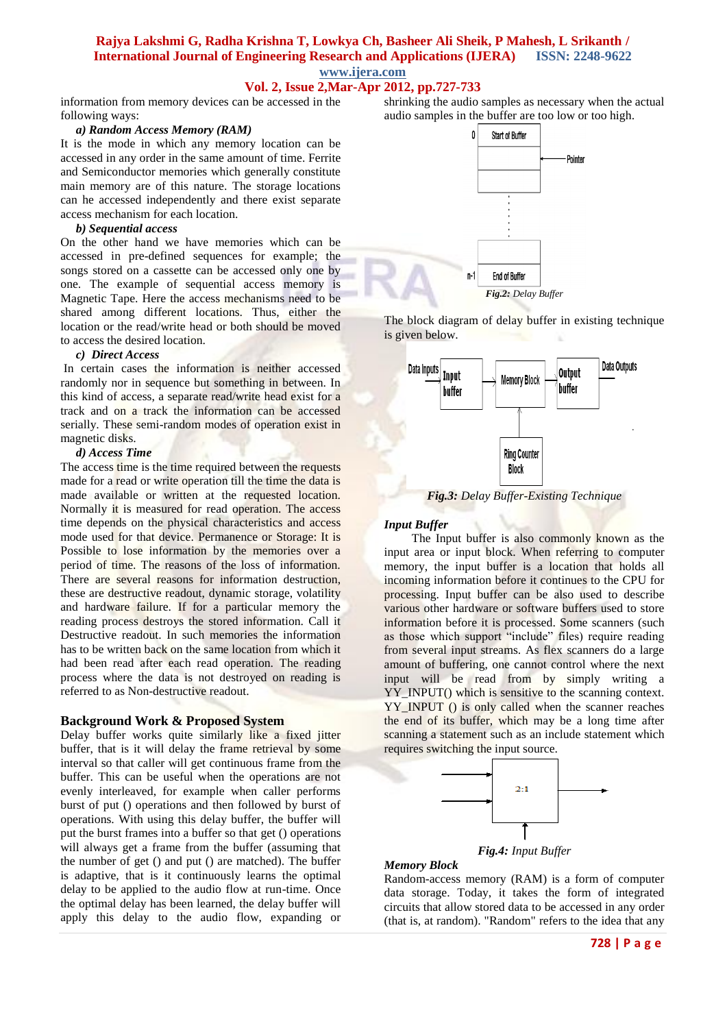## **Vol. 2, Issue 2,Mar-Apr 2012, pp.727-733**

information from memory devices can be accessed in the following ways:

#### *a) Random Access Memory (RAM)*

It is the mode in which any memory location can be accessed in any order in the same amount of time. Ferrite and Semiconductor memories which generally constitute main memory are of this nature. The storage locations can he accessed independently and there exist separate access mechanism for each location.

#### *b) Sequential access*

On the other hand we have memories which can be accessed in pre-defined sequences for example; the songs stored on a cassette can be accessed only one by one. The example of sequential access memory is Magnetic Tape. Here the access mechanisms need to be shared among different locations. Thus, either the location or the read/write head or both should be moved to access the desired location.

#### *c) Direct Access*

In certain cases the information is neither accessed randomly nor in sequence but something in between. In this kind of access, a separate read/write head exist for a track and on a track the information can be accessed serially. These semi-random modes of operation exist in magnetic disks.

#### *d) Access Time*

The access time is the time required between the requests made for a read or write operation till the time the data is made available or written at the requested location. Normally it is measured for read operation. The access time depends on the physical characteristics and access mode used for that device. Permanence or Storage: It is Possible to lose information by the memories over a period of time. The reasons of the loss of information. There are several reasons for information destruction, these are destructive readout, dynamic storage, volatility and hardware failure. If for a particular memory the reading process destroys the stored information. Call it Destructive readout. In such memories the information has to be written back on the same location from which it had been read after each read operation. The reading process where the data is not destroyed on reading is referred to as Non-destructive readout.

#### **Background Work & Proposed System**

Delay buffer works quite similarly like a fixed jitter buffer, that is it will delay the frame retrieval by some interval so that caller will get continuous frame from the buffer. This can be useful when the operations are not evenly interleaved, for example when caller performs burst of put () operations and then followed by burst of operations. With using this delay buffer, the buffer will put the burst frames into a buffer so that get () operations will always get a frame from the buffer (assuming that the number of get () and put () are matched). The buffer is adaptive, that is it continuously learns the optimal delay to be applied to the audio flow at run-time. Once the optimal delay has been learned, the delay buffer will apply this delay to the audio flow, expanding or shrinking the audio samples as necessary when the actual audio samples in the buffer are too low or too high.



The block diagram of delay buffer in existing technique is given below.



*Fig.3: Delay Buffer-Existing Technique*

#### *Input Buffer*

 The Input buffer is also commonly known as the input area or input block. When referring to computer memory, the input buffer is a location that holds all incoming information before it continues to the CPU for processing. Input buffer can be also used to describe various other hardware or software buffers used to store information before it is processed. Some scanners (such as those which support "include" files) require reading from several input streams. As flex scanners do a large amount of buffering, one cannot control where the next input will be read from by simply writing a YY\_INPUT() which is sensitive to the scanning context. YY\_INPUT () is only called when the scanner reaches the end of its buffer, which may be a long time after scanning a statement such as an include statement which requires switching the input source.



*Fig.4: Input Buffer*

#### *Memory Block*

Random-access memory (RAM) is a form of computer data storage. Today, it takes the form of integrated circuits that allow stored data to be accessed in any order (that is, at random). "Random" refers to the idea that any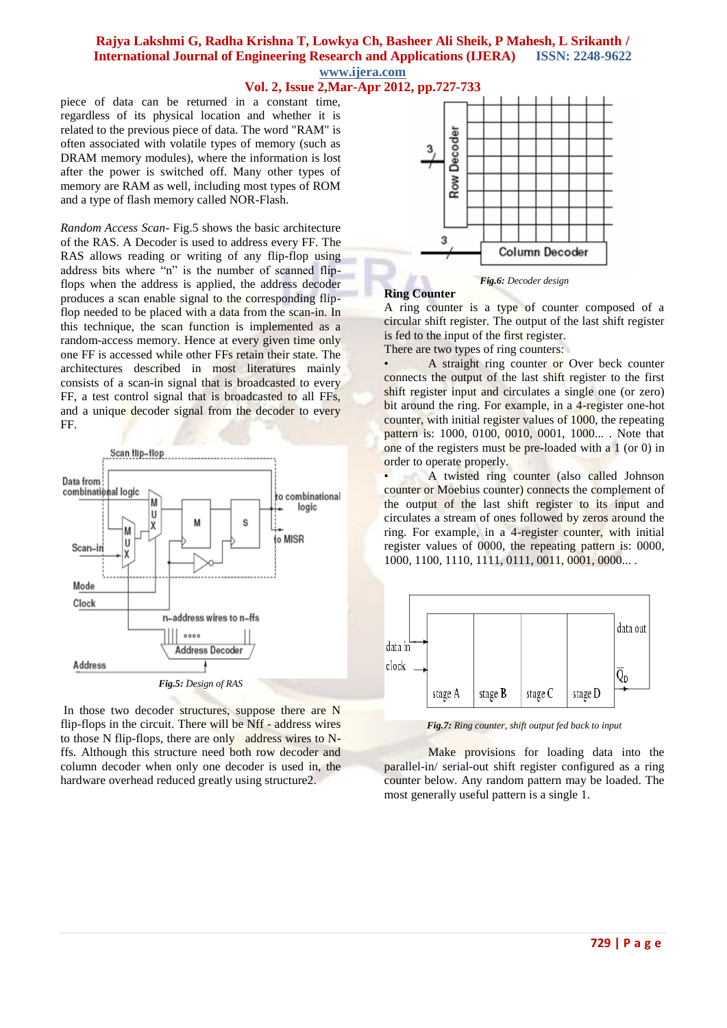**Vol. 2, Issue 2,Mar-Apr 2012, pp.727-733**

piece of data can be returned in a constant time, regardless of its physical location and whether it is related to the previous piece of data. The word "RAM" is often associated with volatile types of memory (such as DRAM memory modules), where the information is lost after the power is switched off. Many other types of memory are RAM as well, including most types of ROM and a type of flash memory called NOR-Flash.

*Random Access Scan-* Fig.5 shows the basic architecture of the RAS. A Decoder is used to address every FF. The RAS allows reading or writing of any flip-flop using address bits where "n" is the number of scanned flipflops when the address is applied, the address decoder produces a scan enable signal to the corresponding flipflop needed to be placed with a data from the scan-in. In this technique, the scan function is implemented as a random-access memory. Hence at every given time only one FF is accessed while other FFs retain their state. The architectures described in most literatures mainly consists of a scan-in signal that is broadcasted to every FF, a test control signal that is broadcasted to all FFs, and a unique decoder signal from the decoder to every FF.



In those two decoder structures, suppose there are N flip-flops in the circuit. There will be Nff - address wires to those N flip-flops, there are only address wires to Nffs. Although this structure need both row decoder and column decoder when only one decoder is used in, the hardware overhead reduced greatly using structure2.



*Fig.6: Decoder design*

#### **Ring Counter**

A ring counter is a type of counter composed of a circular shift register. The output of the last shift register is fed to the input of the first register.

There are two types of ring counters:

• A straight ring counter or Over beck counter connects the output of the last shift register to the first shift register input and circulates a single one (or zero) bit around the ring. For example, in a 4-register one-hot counter, with initial register values of 1000, the repeating pattern is: 1000, 0100, 0010, 0001, 1000... . Note that one of the registers must be pre-loaded with a 1 (or 0) in order to operate properly.

• A twisted ring counter (also called Johnson counter or Moebius counter) connects the complement of the output of the last shift register to its input and circulates a stream of ones followed by zeros around the ring. For example, in a 4-register counter, with initial register values of 0000, the repeating pattern is: 0000, 1000, 1100, 1110, 1111, 0111, 0011, 0001, 0000... .



*Fig.7: Ring counter, shift output fed back to input*

Make provisions for loading data into the parallel-in/ serial-out shift register configured as a ring counter below. Any random pattern may be loaded. The most generally useful pattern is a single 1.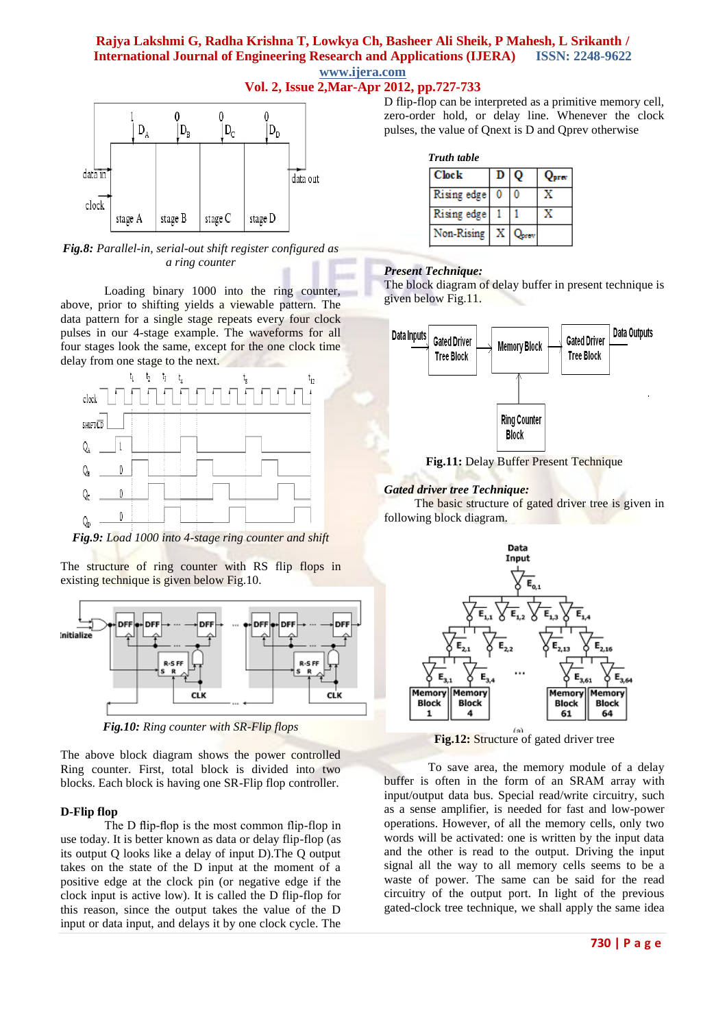## **Vol. 2, Issue 2,Mar-Apr 2012, pp.727-733**



*Fig.8: Parallel-in, serial-out shift register configured as a ring counter*

Loading binary 1000 into the ring counter, above, prior to shifting yields a viewable pattern. The data pattern for a single stage repeats every four clock pulses in our 4-stage example. The waveforms for all four stages look the same, except for the one clock time delay from one stage to the next.



*Fig.9: Load 1000 into 4-stage ring counter and shift*

The structure of ring counter with RS flip flops in existing technique is given below Fig.10.



*Fig.10: Ring counter with SR-Flip flops*

The above block diagram shows the power controlled Ring counter. First, total block is divided into two blocks. Each block is having one SR-Flip flop controller.

### **D-Flip flop**

The D flip-flop is the most common flip-flop in use today. It is better known as data or delay flip-flop (as its output Q looks like a delay of input D).The Q output takes on the state of the D input at the moment of a positive edge at the clock pin (or negative edge if the clock input is active low). It is called the D flip-flop for this reason, since the output takes the value of the D input or data input, and delays it by one clock cycle. The

D flip-flop can be interpreted as a primitive memory cell, zero-order hold, or delay line. Whenever the clock pulses, the value of Qnext is D and Qprev otherwise

### *Truth table*

| <b>Clock</b> | D | $\mathbf{o}$ | area <sup>.</sup> |
|--------------|---|--------------|-------------------|
| Rising edge  | 0 |              |                   |
| Rising edge  |   |              |                   |
| Non-Rising   |   |              |                   |

## *Present Technique:*

The block diagram of delay buffer in present technique is given below Fig.11.



**Fig.11:** Delay Buffer Present Technique

## *Gated driver tree Technique:*

The basic structure of gated driver tree is given in following block diagram.



**Fig.12:** Structure of gated driver tree

To save area, the memory module of a delay buffer is often in the form of an SRAM array with input/output data bus. Special read/write circuitry, such as a sense amplifier, is needed for fast and low-power operations. However, of all the memory cells, only two words will be activated: one is written by the input data and the other is read to the output. Driving the input signal all the way to all memory cells seems to be a waste of power. The same can be said for the read circuitry of the output port. In light of the previous gated-clock tree technique, we shall apply the same idea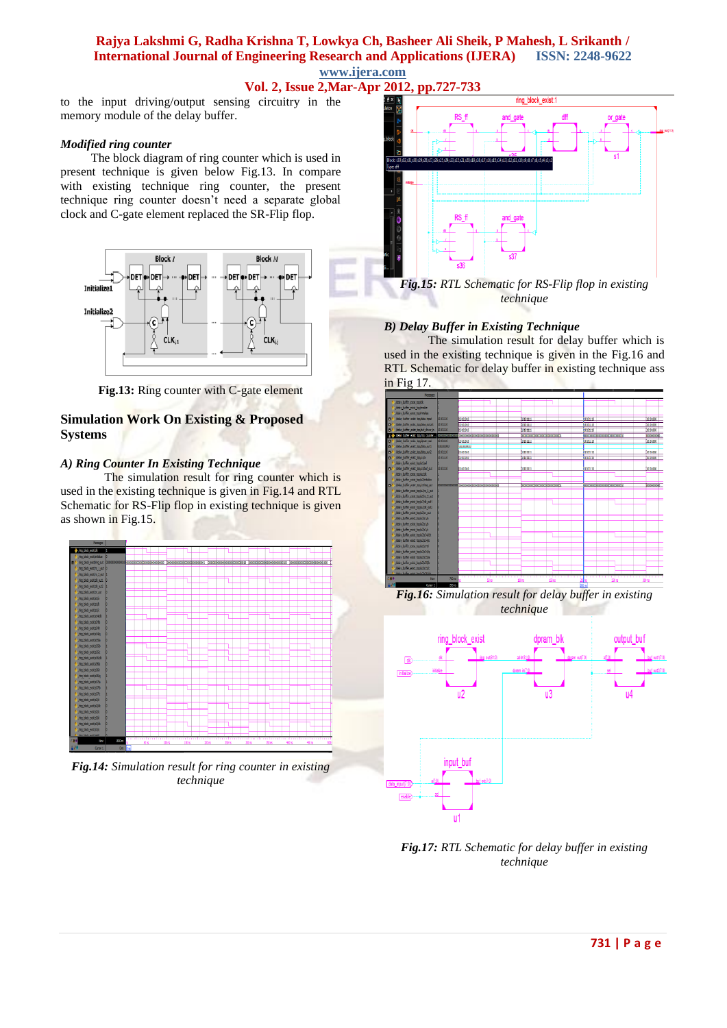## **Vol. 2, Issue 2,Mar-Apr 2012, pp.727-733**

to the input driving/output sensing circuitry in the memory module of the delay buffer.

#### *Modified ring counter*

 The block diagram of ring counter which is used in present technique is given below Fig.13. In compare with existing technique ring counter, the present technique ring counter doesn't need a separate global clock and C-gate element replaced the SR-Flip flop.



**Fig.13:** Ring counter with C-gate element

## **Simulation Work On Existing & Proposed Systems**

### *A) Ring Counter In Existing Technique*

The simulation result for ring counter which is used in the existing technique is given in Fig.14 and RTL Schematic for RS-Flip flop in existing technique is given as shown in Fig.15.



*Fig.14: Simulation result for ring counter in existing technique*



*technique*

### *B) Delay Buffer in Existing Technique*

The simulation result for delay buffer which is used in the existing technique is given in the Fig.16 and RTL Schematic for delay buffer in existing technique ass in Fig 17.



*Fig.16: Simulation result for delay buffer in existing technique*



*Fig.17: RTL Schematic for delay buffer in existing technique*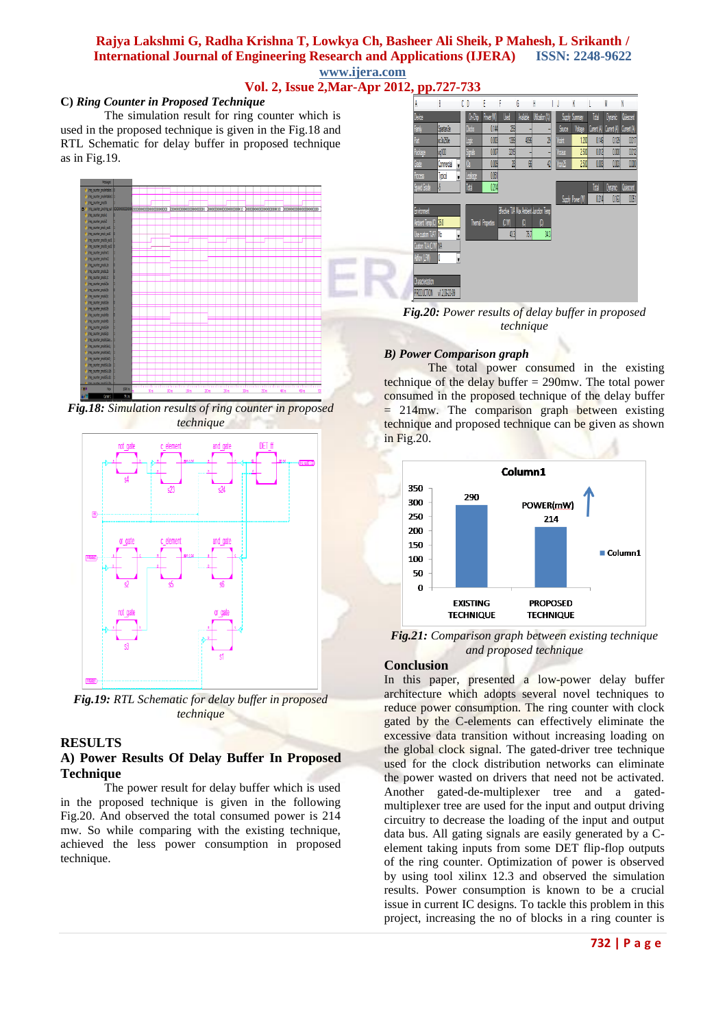## **Vol. 2, Issue 2,Mar-Apr 2012, pp.727-733**

#### **C)** *Ring Counter in Proposed Technique*

The simulation result for ring counter which is used in the proposed technique is given in the Fig.18 and RTL Schematic for delay buffer in proposed technique as in Fig.19.



*Fig.18: Simulation results of ring counter in proposed technique*



*Fig.19: RTL Schematic for delay buffer in proposed technique*

### **RESULTS**

### **A) Power Results Of Delay Buffer In Proposed Technique**

The power result for delay buffer which is used in the proposed technique is given in the following Fig.20. And observed the total consumed power is 214 mw. So while comparing with the existing technique, achieved the less power consumption in proposed technique.



*Fig.20: Power results of delay buffer in proposed technique*

### *B) Power Comparison graph*

The total power consumed in the existing technique of the delay buffer  $= 290$  mw. The total power consumed in the proposed technique of the delay buffer  $= 214$ mw. The comparison graph between existing technique and proposed technique can be given as shown in Fig.20.



*Fig.21: Comparison graph between existing technique and proposed technique*

### **Conclusion**

In this paper, presented a low-power delay buffer architecture which adopts several novel techniques to reduce power consumption. The ring counter with clock gated by the C-elements can effectively eliminate the excessive data transition without increasing loading on the global clock signal. The gated-driver tree technique used for the clock distribution networks can eliminate the power wasted on drivers that need not be activated. Another gated-de-multiplexer tree and a gatedmultiplexer tree are used for the input and output driving circuitry to decrease the loading of the input and output data bus. All gating signals are easily generated by a Celement taking inputs from some DET flip-flop outputs of the ring counter. Optimization of power is observed by using tool xilinx 12.3 and observed the simulation results. Power consumption is known to be a crucial issue in current IC designs. To tackle this problem in this project, increasing the no of blocks in a ring counter is